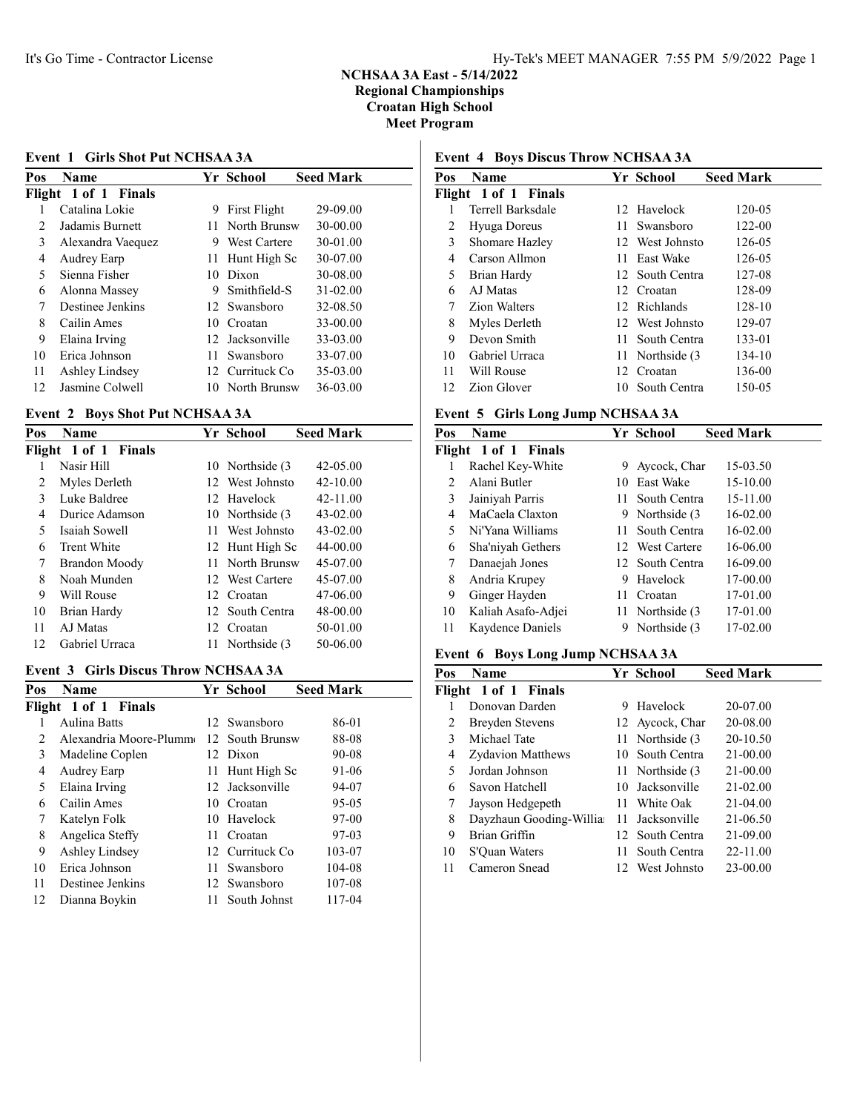## NCHSAA 3A East - 5/14/2022 Regional Championships

Croatan High School

Meet Program

## Event 1 Girls Shot Put NCHSAA 3A

| Pos | Name                 |    | Yr School           | <b>Seed Mark</b> |
|-----|----------------------|----|---------------------|------------------|
|     | Flight 1 of 1 Finals |    |                     |                  |
|     | Catalina Lokie       | 9  | First Flight        | 29-09.00         |
| 2   | Jadamis Burnett      |    | 11 North Brunsw     | 30-00.00         |
| 3   | Alexandra Vaequez    | 9  | <b>West Cartere</b> | 30-01.00         |
| 4   | Audrey Earp          | 11 | Hunt High Sc        | 30-07.00         |
| 5   | Sienna Fisher        | 10 | Dixon               | 30-08.00         |
| 6   | Alonna Massey        | 9  | Smithfield-S        | $31 - 02.00$     |
| 7   | Destinee Jenkins     |    | 12 Swansboro        | 32-08.50         |
| 8   | Cailin Ames          | 10 | Croatan             | 33-00.00         |
| 9   | Elaina Irving        |    | 12 Jacksonville     | 33-03.00         |
| 10  | Erica Johnson        | 11 | Swansboro           | 33-07.00         |
| 11  | Ashley Lindsey       |    | 12 Currituck Co     | 35-03.00         |
| 12  | Jasmine Colwell      |    | 10 North Brunsw     | 36-03.00         |

## Event 2 Boys Shot Put NCHSAA 3A

| Pos | Name                 |     | Yr School        | <b>Seed Mark</b> |
|-----|----------------------|-----|------------------|------------------|
|     | Flight 1 of 1 Finals |     |                  |                  |
|     | Nasir Hill           |     | 10 Northside (3) | $42 - 05.00$     |
| 2   | Myles Derleth        |     | 12 West Johnsto  | $42 - 10.00$     |
| 3   | Luke Baldree         |     | 12 Havelock      | 42-11.00         |
| 4   | Durice Adamson       |     | 10 Northside (3) | 43-02.00         |
| 5   | Isaiah Sowell        | 11. | West Johnsto     | 43-02.00         |
| 6   | <b>Trent White</b>   |     | 12 Hunt High Sc  | 44-00.00         |
| 7   | Brandon Moody        | 11. | North Brunsw     | 45-07.00         |
| 8   | Noah Munden          |     | 12 West Cartere  | 45-07.00         |
| 9   | Will Rouse           |     | 12 Croatan       | 47-06.00         |
| 10  | Brian Hardy          |     | 12 South Centra  | 48-00.00         |
| 11  | AJ Matas             |     | 12 Croatan       | 50-01.00         |
| 12  | Gabriel Urraca       |     | 11 Northside (3) | 50-06.00         |

## Event 3 Girls Discus Throw NCHSAA 3A

| <b>Name</b>            |    | Yr School    | <b>Seed Mark</b>                                                                                                                                          |
|------------------------|----|--------------|-----------------------------------------------------------------------------------------------------------------------------------------------------------|
| Flight 1 of 1 Finals   |    |              |                                                                                                                                                           |
| Aulina Batts           |    |              | 86-01                                                                                                                                                     |
| Alexandria Moore-Plumm |    |              | 88-08                                                                                                                                                     |
| Madeline Coplen        |    |              | $90 - 08$                                                                                                                                                 |
| Audrey Earp            |    |              | 91-06                                                                                                                                                     |
| Elaina Irving          |    |              | 94-07                                                                                                                                                     |
| Cailin Ames            |    |              | $95 - 05$                                                                                                                                                 |
| Katelyn Folk           |    |              | 97-00                                                                                                                                                     |
| Angelica Steffy        | 11 | Croatan      | $97-03$                                                                                                                                                   |
| Ashley Lindsey         |    |              | 103-07                                                                                                                                                    |
| Erica Johnson          |    | Swansboro    | 104-08                                                                                                                                                    |
| Destinee Jenkins       |    |              | 107-08                                                                                                                                                    |
| Dianna Boykin          | 11 | South Johnst | 117-04                                                                                                                                                    |
|                        |    |              | 12. Swansboro<br>12 South Brunsw<br>12 Dixon<br>11 Hunt High Sc<br>12 Jacksonville<br>10 Croatan<br>10 Havelock<br>12 Currituck Co<br>11.<br>12 Swansboro |

# Event 4 Boys Discus Throw NCHSAA 3A

| Pos | <b>Name</b>          |     | Yr School        | <b>Seed Mark</b> |
|-----|----------------------|-----|------------------|------------------|
|     | Flight 1 of 1 Finals |     |                  |                  |
|     | Terrell Barksdale    |     | 12 Havelock      | 120-05           |
| 2   | Hyuga Doreus         | 11  | Swansboro        | 122-00           |
| 3   | Shomare Hazley       |     | 12 West Johnsto  | 126-05           |
| 4   | Carson Allmon        |     | 11 East Wake     | 126-05           |
| 5   | Brian Hardy          |     | 12 South Centra  | 127-08           |
| 6   | AJ Matas             |     | 12 Croatan       | 128-09           |
| 7   | Zion Walters         |     | 12 Richlands     | 128-10           |
| 8   | Myles Derleth        |     | 12 West Johnsto  | 129-07           |
| 9   | Devon Smith          | 11. | South Centra     | 133-01           |
| 10  | Gabriel Urraca       |     | 11 Northside (3) | 134-10           |
| 11  | Will Rouse           |     | 12 Croatan       | 136-00           |
| 12  | Zion Glover          | 10  | South Centra     | 150-05           |

## Event 5 Girls Long Jump NCHSAA 3A

| Pos | <b>Name</b>          |     | Yr School        | <b>Seed Mark</b> |
|-----|----------------------|-----|------------------|------------------|
|     | Flight 1 of 1 Finals |     |                  |                  |
|     | Rachel Key-White     | 9   | Aycock, Char     | 15-03.50         |
|     | Alani Butler         | 10  | East Wake        | 15-10.00         |
| 3   | Jainiyah Parris      | 11. | South Centra     | 15-11.00         |
| 4   | MaCaela Claxton      | 9   | Northside (3)    | 16-02.00         |
| 5   | Ni'Yana Williams     | 11. | South Centra     | 16-02.00         |
| 6   | Sha'niyah Gethers    |     | 12 West Cartere  | 16-06.00         |
| 7   | Danaejah Jones       |     | 12 South Centra  | 16-09.00         |
| 8   | Andria Krupey        | 9   | Havelock         | 17-00.00         |
| 9   | Ginger Hayden        | 11  | Croatan          | 17-01.00         |
| 10  | Kaliah Asafo-Adjei   |     | 11 Northside (3) | 17-01.00         |
| 11  | Kaydence Daniels     | 9   | Northside (3)    | 17-02.00         |
|     |                      |     |                  |                  |

# Event 6 Boys Long Jump NCHSAA 3A

| Pos | Name                     |     | Yr School        | <b>Seed Mark</b> |
|-----|--------------------------|-----|------------------|------------------|
|     | Flight 1 of 1 Finals     |     |                  |                  |
|     | Donovan Darden           | 9   | Havelock         | 20-07.00         |
| 2   | Breyden Stevens          |     | 12 Aycock, Char  | 20-08.00         |
| 3   | Michael Tate             |     | 11 Northside (3) | 20-10.50         |
| 4   | <b>Zydavion Matthews</b> | 10. | South Centra     | 21-00.00         |
| 5   | Jordan Johnson           |     | 11 Northside (3) | 21-00.00         |
| 6   | Savon Hatchell           | 10  | Jacksonville     | $21 - 02.00$     |
| 7   | Jayson Hedgepeth         | 11  | White Oak        | 21-04.00         |
| 8   | Dayzhaun Gooding-Willia  | 11  | Jacksonville     | 21-06.50         |
| 9   | Brian Griffin            |     | 12 South Centra  | 21-09.00         |
| 10  | S'Ouan Waters            | 11. | South Centra     | 22-11.00         |
| 11  | Cameron Snead            |     | 12 West Johnsto  | 23-00.00         |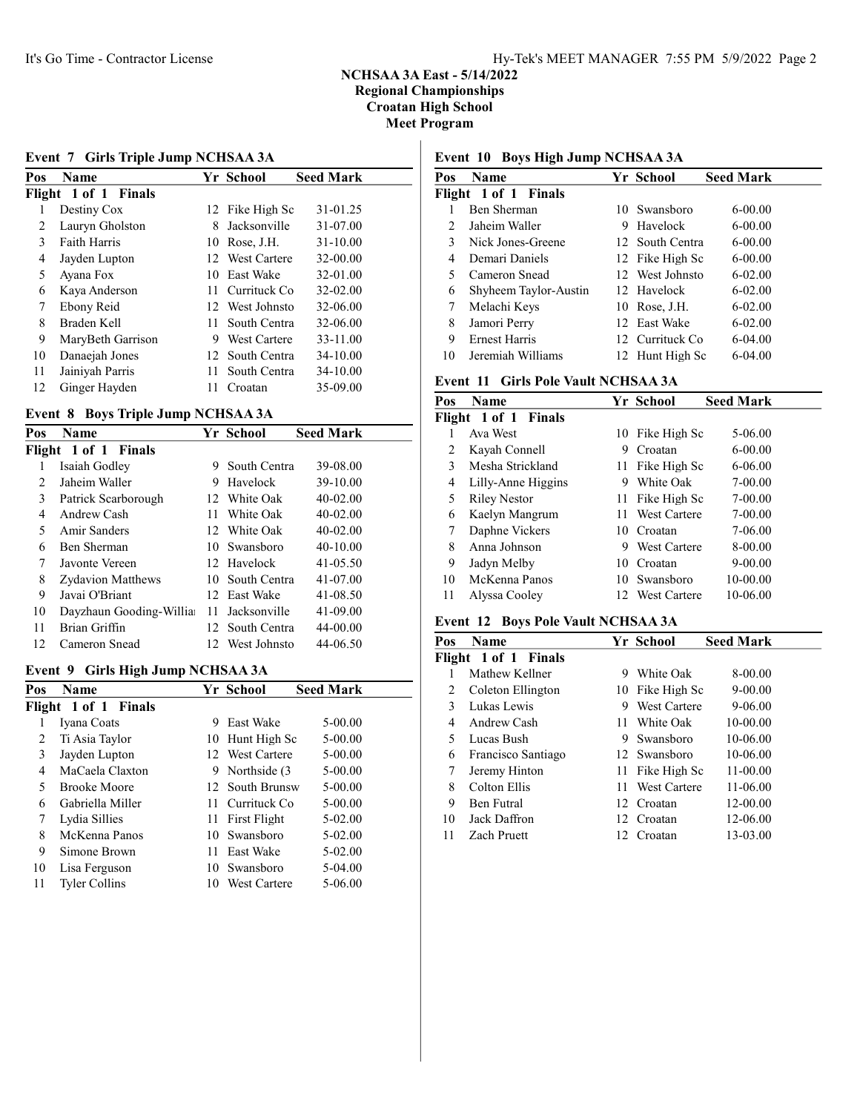## NCHSAA 3A East - 5/14/2022 Regional Championships

Croatan High School

Meet Program

## Event 7 Girls Triple Jump NCHSAA 3A

| Pos | Name                 |    | Yr School           | <b>Seed Mark</b> |
|-----|----------------------|----|---------------------|------------------|
|     | Flight 1 of 1 Finals |    |                     |                  |
|     | Destiny Cox          |    | 12 Fike High Sc     | 31-01.25         |
| 2   | Lauryn Gholston      | 8  | Jacksonville        | 31-07.00         |
| 3   | <b>Faith Harris</b>  | 10 | Rose, J.H.          | $31 - 10.00$     |
| 4   | Jayden Lupton        |    | 12 West Cartere     | 32-00.00         |
| 5   | Ayana Fox            | 10 | East Wake           | 32-01.00         |
| 6   | Kaya Anderson        | 11 | Currituck Co.       | 32-02.00         |
| 7   | Ebony Reid           |    | 12 West Johnsto     | 32-06.00         |
| 8   | Braden Kell          | 11 | South Centra        | 32-06.00         |
| 9   | MaryBeth Garrison    | 9  | <b>West Cartere</b> | 33-11.00         |
| 10  | Danaejah Jones       |    | 12 South Centra     | 34-10.00         |
| 11  | Jainiyah Parris      | 11 | South Centra        | 34-10.00         |
| 12  | Ginger Hayden        | 11 | Croatan             | 35-09.00         |

# Event 8 Boys Triple Jump NCHSAA 3A

| Pos | <b>Name</b>              |    | Yr School       | <b>Seed Mark</b> |
|-----|--------------------------|----|-----------------|------------------|
|     | Flight 1 of 1 Finals     |    |                 |                  |
| 1   | Isaiah Godley            | 9  | South Centra    | 39-08.00         |
| 2   | Jaheim Waller            | 9  | Havelock        | 39-10.00         |
| 3   | Patrick Scarborough      |    | 12 White Oak    | $40 - 02.00$     |
| 4   | Andrew Cash              | 11 | White Oak       | 40-02.00         |
| 5   | Amir Sanders             |    | 12 White Oak    | $40 - 02.00$     |
| 6   | Ben Sherman              |    | 10 Swansboro    | $40-10.00$       |
| 7   | Javonte Vereen           |    | 12 Havelock     | $41 - 05.50$     |
| 8   | <b>Zydavion Matthews</b> |    | 10 South Centra | 41-07.00         |
| 9   | Javai O'Briant           |    | 12 East Wake    | 41-08.50         |
| 10  | Dayzhaun Gooding-Willia  | 11 | Jacksonville    | 41-09.00         |
| 11  | Brian Griffin            |    | 12 South Centra | 44-00.00         |
| 12  | Cameron Snead            |    | 12 West Johnsto | 44-06.50         |

#### Event 9 Girls High Jump NCHSAA 3A

| Name                 |                      |                     | <b>Seed Mark</b>                                     |
|----------------------|----------------------|---------------------|------------------------------------------------------|
|                      |                      |                     |                                                      |
| Iyana Coats          | 9                    | <b>East Wake</b>    | $5 - 00.00$                                          |
| Ti Asia Taylor       | 10                   | Hunt High Sc        | 5-00.00                                              |
| Jayden Lupton        |                      |                     | 5-00.00                                              |
| MaCaela Claxton      | 9.                   |                     | 5-00.00                                              |
| <b>Brooke Moore</b>  |                      | <b>South Brunsw</b> | 5-00.00                                              |
| Gabriella Miller     | 11                   | - Currituck Co      | 5-00.00                                              |
| Lydia Sillies        | 11.                  | <b>First Flight</b> | 5-02.00                                              |
| McKenna Panos        | 10                   | Swansboro           | 5-02.00                                              |
| Simone Brown         | 11                   | <b>East Wake</b>    | 5-02.00                                              |
| Lisa Ferguson        | 10                   | Swansboro           | $5-04.00$                                            |
| <b>Tyler Collins</b> | 10                   | <b>West Cartere</b> | 5-06.00                                              |
|                      | Flight 1 of 1 Finals |                     | Yr School<br>12 West Cartere<br>Northside (3)<br>12. |

# Event 10 Boys High Jump NCHSAA 3A

| Pos | <b>Name</b>           |   | Yr School        | <b>Seed Mark</b> |
|-----|-----------------------|---|------------------|------------------|
|     | Flight 1 of 1 Finals  |   |                  |                  |
|     | Ben Sherman           |   | 10 Swansboro     | $6 - 00.00$      |
| 2   | Jaheim Waller         | 9 | Havelock         | $6 - 00.00$      |
| 3   | Nick Jones-Greene     |   | 12 South Centra  | $6 - 00.00$      |
| 4   | Demari Daniels        |   | 12 Fike High Sc  | $6-00.00$        |
| 5   | Cameron Snead         |   | 12 West Johnsto  | $6-02.00$        |
| 6   | Shyheem Taylor-Austin |   | 12 Havelock      | $6 - 02.00$      |
| 7   | Melachi Keys          |   | 10 Rose, J.H.    | $6-02.00$        |
| 8   | Jamori Perry          |   | 12 East Wake     | $6 - 02.00$      |
| 9   | <b>Ernest Harris</b>  |   | 12 Currituck Co. | $6-04.00$        |
| 10  | Jeremiah Williams     |   | 12 Hunt High Sc  | $6-04.00$        |

# Event 11 Girls Pole Vault NCHSAA 3A

| Pos | <b>Name</b>          |     | Yr School           | <b>Seed Mark</b> |
|-----|----------------------|-----|---------------------|------------------|
|     | Flight 1 of 1 Finals |     |                     |                  |
|     | Ava West             |     | 10 Fike High Sc     | 5-06.00          |
| 2   | Kayah Connell        | 9   | Croatan             | $6 - 00.00$      |
| 3   | Mesha Strickland     |     | 11 Fike High Sc     | $6 - 06.00$      |
| 4   | Lilly-Anne Higgins   | 9   | White Oak           | $7 - 00.00$      |
| 5   | <b>Riley Nestor</b>  |     | 11 Fike High Sc     | $7 - 00.00$      |
| 6   | Kaelyn Mangrum       | 11. | <b>West Cartere</b> | $7 - 00.00$      |
| 7   | Daphne Vickers       | 10  | Croatan             | 7-06.00          |
| 8   | Anna Johnson         | 9   | <b>West Cartere</b> | 8-00.00          |
| 9   | Jadyn Melby          | 10  | Croatan             | $9 - 00.00$      |
| 10  | McKenna Panos        |     | 10 Swansboro        | 10-00.00         |
| 11  | Alyssa Cooley        |     | 12 West Cartere     | 10-06.00         |

# Event 12 Boys Pole Vault NCHSAA 3A

| Pos | <b>Name</b>          |     | Yr School           | <b>Seed Mark</b> |
|-----|----------------------|-----|---------------------|------------------|
|     | Flight 1 of 1 Finals |     |                     |                  |
|     | Mathew Kellner       | 9   | White Oak           | 8-00.00          |
| 2   | Coleton Ellington    |     | 10 Fike High Sc     | $9 - 00.00$      |
| 3   | Lukas Lewis          | 9   | <b>West Cartere</b> | $9 - 06.00$      |
| 4   | Andrew Cash          |     | 11 White Oak        | 10-00.00         |
| 5   | Lucas Bush           | 9   | Swansboro           | 10-06.00         |
| 6   | Francisco Santiago   |     | 12 Swansboro        | 10-06.00         |
| 7   | Jeremy Hinton        |     | 11 Fike High Sc     | 11-00.00         |
| 8   | Colton Ellis         | 11. | <b>West Cartere</b> | 11-06.00         |
| 9   | Ben Futral           |     | 12 Croatan          | 12-00.00         |
| 10  | Jack Daffron         |     | 12 Croatan          | 12-06.00         |
| 11  | Zach Pruett          |     | 12 Croatan          | 13-03.00         |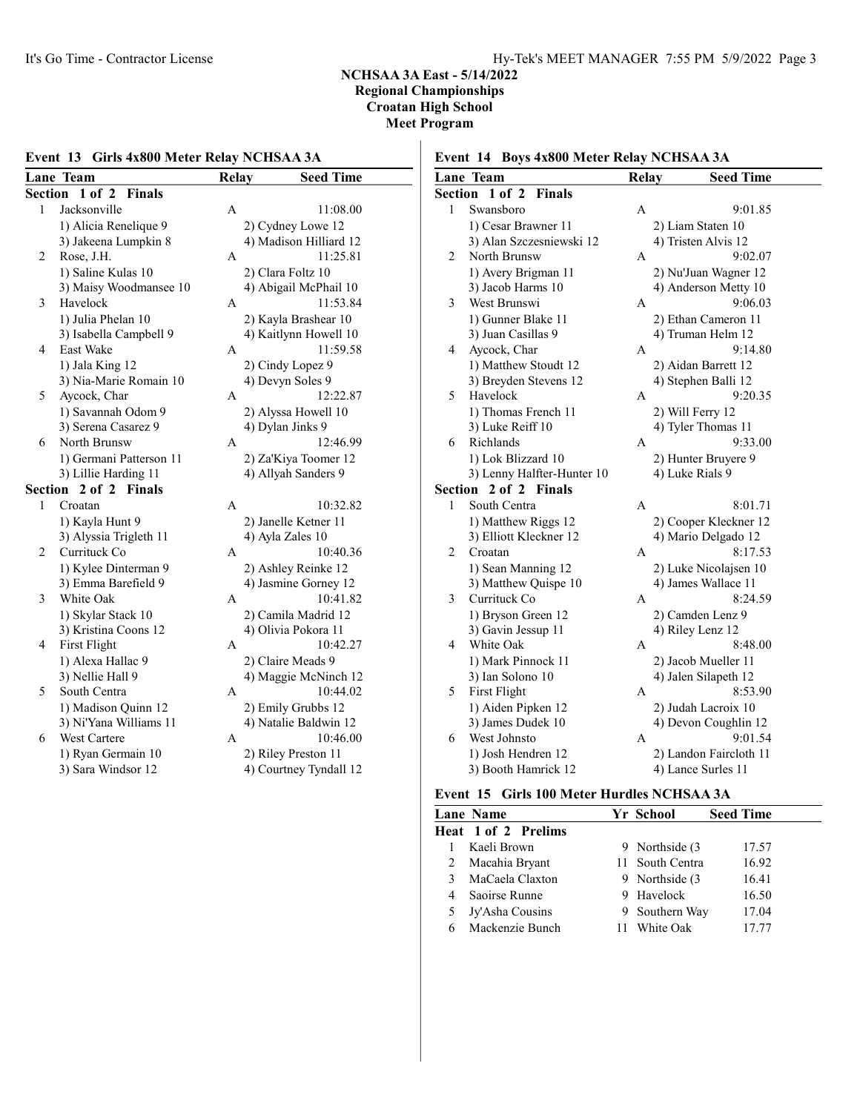# Event 13 Girls 4x800 Meter Relay NCHSAA 3A

|                | Lane Team               | <b>Relay</b> | <b>Seed Time</b>       |
|----------------|-------------------------|--------------|------------------------|
| <b>Section</b> | 1 of 2 Finals           |              |                        |
| 1              | Jacksonville            | А            | 11:08.00               |
|                | 1) Alicia Renelique 9   |              | 2) Cydney Lowe 12      |
|                | 3) Jakeena Lumpkin 8    |              | 4) Madison Hilliard 12 |
| 2              | Rose, J.H.              | A            | 11:25.81               |
|                | 1) Saline Kulas 10      |              | 2) Clara Foltz 10      |
|                | 3) Maisy Woodmansee 10  |              | 4) Abigail McPhail 10  |
| 3              | Havelock                | A            | 11:53.84               |
|                | 1) Julia Phelan 10      |              | 2) Kayla Brashear 10   |
|                | 3) Isabella Campbell 9  |              | 4) Kaitlynn Howell 10  |
| 4              | East Wake               | A            | 11:59.58               |
|                | 1) Jala King 12         |              | 2) Cindy Lopez 9       |
|                | 3) Nia-Marie Romain 10  |              | 4) Devyn Soles 9       |
| 5              | Aycock, Char            | A            | 12:22.87               |
|                | 1) Savannah Odom 9      |              | 2) Alyssa Howell 10    |
|                | 3) Serena Casarez 9     |              | 4) Dylan Jinks 9       |
| 6              | North Brunsw            | A            | 12:46.99               |
|                | 1) Germani Patterson 11 |              | 2) Za'Kiya Toomer 12   |
|                | 3) Lillie Harding 11    |              | 4) Allyah Sanders 9    |
|                | Section 2 of 2 Finals   |              |                        |
| 1              | Croatan                 | A            | 10:32.82               |
|                | 1) Kayla Hunt 9         |              | 2) Janelle Ketner 11   |
|                | 3) Alyssia Trigleth 11  |              | 4) Ayla Zales 10       |
| 2              | Currituck Co            | A            | 10:40.36               |
|                | 1) Kylee Dinterman 9    |              | 2) Ashley Reinke 12    |
|                | 3) Emma Barefield 9     |              | 4) Jasmine Gorney 12   |
| 3              | White Oak               | A            | 10:41.82               |
|                | 1) Skylar Stack 10      |              | 2) Camila Madrid 12    |
|                | 3) Kristina Coons 12    |              | 4) Olivia Pokora 11    |
| 4              | <b>First Flight</b>     | A            | 10:42.27               |
|                | 1) Alexa Hallac 9       |              | 2) Claire Meads 9      |
|                | 3) Nellie Hall 9        |              | 4) Maggie McNinch 12   |
| 5              | South Centra            | A            | 10:44.02               |
|                | 1) Madison Quinn 12     |              | 2) Emily Grubbs 12     |
|                | 3) Ni'Yana Williams 11  |              | 4) Natalie Baldwin 12  |
| 6              | West Cartere            | Α            | 10:46.00               |
|                | 1) Ryan Germain 10      |              | 2) Riley Preston 11    |
|                | 3) Sara Windsor 12      |              | 4) Courtney Tyndall 12 |
|                |                         |              |                        |

# Event 14 Boys 4x800 Meter Relay NCHSAA 3A

|                | Lane Team                  | <b>Relay</b> | <b>Seed Time</b>       |
|----------------|----------------------------|--------------|------------------------|
| <b>Section</b> | 1 of 2<br><b>Finals</b>    |              |                        |
| 1              | Swansboro                  | А            | 9:01.85                |
|                | 1) Cesar Brawner 11        |              | 2) Liam Staten 10      |
|                | 3) Alan Szczesniewski 12   |              | 4) Tristen Alvis 12    |
| $\overline{2}$ | North Brunsw               | A            | 9:02.07                |
|                | 1) Avery Brigman 11        |              | 2) Nu'Juan Wagner 12   |
|                | 3) Jacob Harms 10          |              | 4) Anderson Metty 10   |
| 3              | West Brunswi               | A            | 9:06.03                |
|                | 1) Gunner Blake 11         |              | 2) Ethan Cameron 11    |
|                | 3) Juan Casillas 9         |              | 4) Truman Helm 12      |
| 4              | Aycock, Char               | А            | 9:14.80                |
|                | 1) Matthew Stoudt 12       |              | 2) Aidan Barrett 12    |
|                | 3) Breyden Stevens 12      |              | 4) Stephen Balli 12    |
| 5              | Havelock                   | A            | 9:20.35                |
|                | 1) Thomas French 11        |              | 2) Will Ferry 12       |
|                | 3) Luke Reiff 10           |              | 4) Tyler Thomas 11     |
| 6              | Richlands                  | A            | 9:33.00                |
|                | 1) Lok Blizzard 10         |              | 2) Hunter Bruyere 9    |
|                | 3) Lenny Halfter-Hunter 10 |              | 4) Luke Rials 9        |
| Section        | 2 of 2 Finals              |              |                        |
| 1              | South Centra               | A            | 8:01.71                |
|                | 1) Matthew Riggs 12        |              | 2) Cooper Kleckner 12  |
|                | 3) Elliott Kleckner 12     |              | 4) Mario Delgado 12    |
| $\overline{2}$ | Croatan                    | A            | 8:17.53                |
|                | 1) Sean Manning 12         |              | 2) Luke Nicolajsen 10  |
|                | 3) Matthew Quispe 10       |              | 4) James Wallace 11    |
| 3              | Currituck Co               | A            | 8:24.59                |
|                | 1) Bryson Green 12         |              | 2) Camden Lenz 9       |
|                | 3) Gavin Jessup 11         |              | 4) Riley Lenz 12       |
| 4              | White Oak                  | A            | 8:48.00                |
|                | 1) Mark Pinnock 11         |              | 2) Jacob Mueller 11    |
|                | 3) Ian Solono 10           |              | 4) Jalen Silapeth 12   |
| 5              | First Flight               | A            | 8:53.90                |
|                | 1) Aiden Pipken 12         |              | 2) Judah Lacroix 10    |
|                | 3) James Dudek 10          |              | 4) Devon Coughlin 12   |
| 6              | West Johnsto               | A            | 9:01.54                |
|                | 1) Josh Hendren 12         |              | 2) Landon Faircloth 11 |
|                | 3) Booth Hamrick 12        |              | 4) Lance Surles 11     |

## Event 15 Girls 100 Meter Hurdles NCHSAA 3A

| <b>Lane Name</b>           | Yr School       | <b>Seed Time</b> |
|----------------------------|-----------------|------------------|
| <b>Heat 1 of 2 Prelims</b> |                 |                  |
| Kaeli Brown                | 9 Northside (3) | 17.57            |
| Macahia Bryant             | 11 South Centra | 16.92            |
| MaCaela Claxton            | 9 Northside (3) | 16.41            |
| Saoirse Runne              | 9 Havelock      | 16.50            |
| Jy'Asha Cousins            | 9 Southern Way  | 17.04            |
| Mackenzie Bunch            | 11 White Oak    | 17.77            |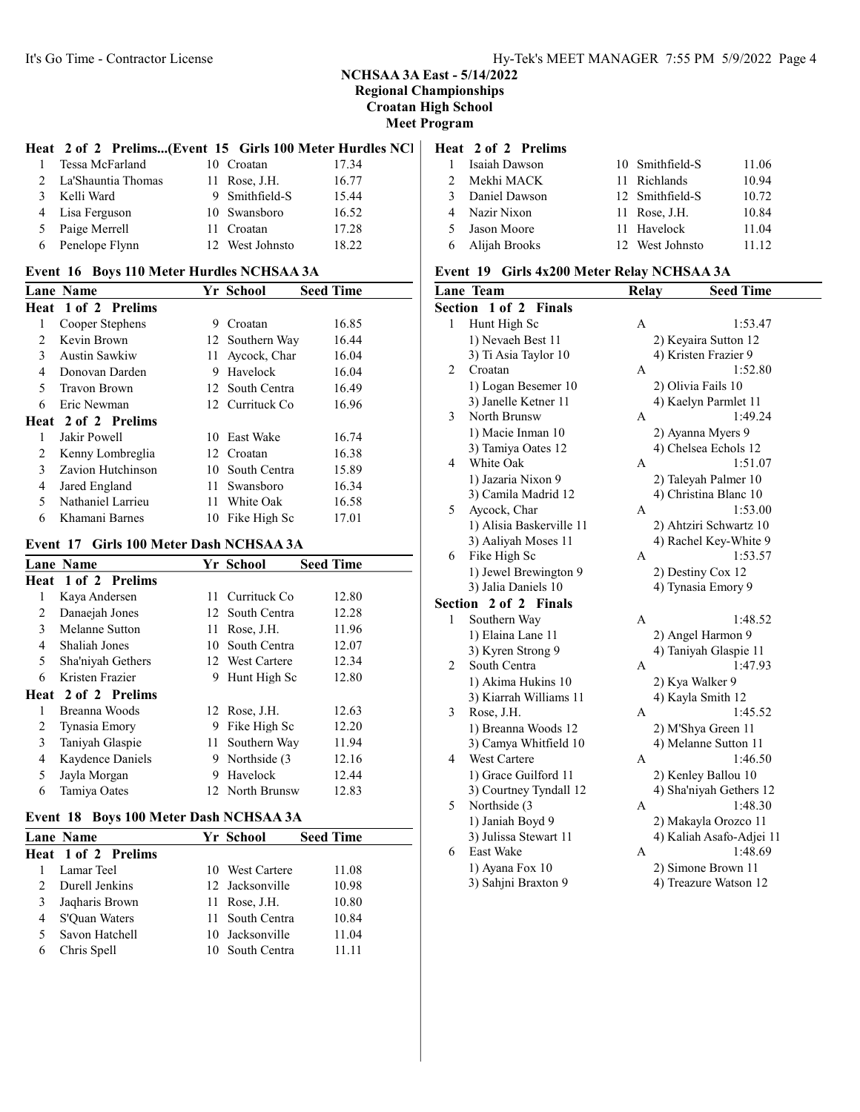#### Heat 2 of 2 Prelims...(Event 15 Girls 100 Meter Hurdles NCl | Heat 2 of 2 Prelims

| 1 Tessa McFarland    | 10 Croatan      | 17.34 |
|----------------------|-----------------|-------|
| 2 La'Shauntia Thomas | 11 Rose, J.H.   | 16.77 |
| 3 Kelli Ward         | 9 Smithfield-S  | 15.44 |
| 4 Lisa Ferguson      | 10 Swansboro    | 16.52 |
| 5 Paige Merrell      | 11 Croatan      | 17.28 |
| 6 Penelope Flynn     | 12 West Johnsto | 18.22 |

## Event 16 Boys 110 Meter Hurdles NCHSAA 3A

|                | <b>Lane Name</b>    |     | Yr School       | <b>Seed Time</b> |
|----------------|---------------------|-----|-----------------|------------------|
|                | Heat 1 of 2 Prelims |     |                 |                  |
| 1              | Cooper Stephens     | 9   | Croatan         | 16.85            |
| $\mathfrak{D}$ | Kevin Brown         |     | 12 Southern Way | 16.44            |
| 3              | Austin Sawkiw       | 11. | Aycock, Char    | 16.04            |
| 4              | Donovan Darden      | 9   | Havelock        | 16.04            |
| 5              | Travon Brown        |     | 12 South Centra | 16.49            |
| 6              | Eric Newman         |     | 12 Currituck Co | 16.96            |
|                | Heat 2 of 2 Prelims |     |                 |                  |
| 1              | Jakir Powell        |     | 10 East Wake    | 16.74            |
| 2              | Kenny Lombreglia    |     | 12 Croatan      | 16.38            |
| 3              | Zavion Hutchinson   |     | 10 South Centra | 15.89            |
| 4              | Jared England       | 11  | Swansboro       | 16.34            |
| 5              | Nathaniel Larrieu   | 11  | White Oak       | 16.58            |
| 6              | Khamani Barnes      |     | 10 Fike High Sc | 17.01            |

# Event 17 Girls 100 Meter Dash NCHSAA 3A

|   | Lane Name           |   | Yr School        | <b>Seed Time</b> |
|---|---------------------|---|------------------|------------------|
|   | Heat 1 of 2 Prelims |   |                  |                  |
| 1 | Kaya Andersen       |   | 11 Currituck Co. | 12.80            |
| 2 | Danaejah Jones      |   | 12 South Centra  | 12.28            |
| 3 | Melanne Sutton      |   | 11 Rose, J.H.    | 11.96            |
| 4 | Shaliah Jones       |   | 10 South Centra  | 12.07            |
| 5 | Sha'niyah Gethers   |   | 12 West Cartere  | 12.34            |
| 6 | Kristen Frazier     | 9 | Hunt High Sc     | 12.80            |
|   | Heat 2 of 2 Prelims |   |                  |                  |
| 1 | Breanna Woods       |   | 12 Rose, J.H.    | 12.63            |
| 2 | Tynasia Emory       |   | 9 Fike High Sc   | 12.20            |
| 3 | Taniyah Glaspie     |   | 11 Southern Way  | 11.94            |
| 4 | Kaydence Daniels    |   | 9 Northside (3)  | 12.16            |
| 5 | Jayla Morgan        | 9 | Havelock         | 12.44            |
| 6 | Tamiya Oates        |   | 12 North Brunsw  | 12.83            |
|   |                     |   |                  |                  |

## Event 18 Boys 100 Meter Dash NCHSAA 3A

| <b>Lane Name</b>           | Yr School       | <b>Seed Time</b> |
|----------------------------|-----------------|------------------|
| <b>Heat 1 of 2 Prelims</b> |                 |                  |
| Lamar Teel                 | 10 West Cartere | 11.08            |
| Durell Jenkins             | 12 Jacksonville | 10.98            |
| Jaqharis Brown             | 11 Rose, J.H.   | 10.80            |
| S'Ouan Waters              | 11 South Centra | 10.84            |
| Savon Hatchell             | 10 Jacksonville | 11.04            |
| Chris Spell                | 10 South Centra | 11.11            |

|   | Isaiah Dawson | 10 Smithfield-S | 11.06 |
|---|---------------|-----------------|-------|
|   | Mekhi MACK    | 11 Richlands    | 10.94 |
| 3 | Daniel Dawson | 12 Smithfield-S | 10.72 |
|   | Nazir Nixon   | 11 Rose, J.H.   | 10.84 |
|   | Jason Moore   | 11 Havelock     | 11.04 |
|   | Alijah Brooks | 12 West Johnsto | 11.12 |

## Event 19 Girls 4x200 Meter Relay NCHSAA 3A

|                | Lane Team                | ີປ<br><b>Relay</b> | <b>Seed Time</b>         |
|----------------|--------------------------|--------------------|--------------------------|
| Section        | 1 of 2<br>Finals         |                    |                          |
|                |                          |                    |                          |
| $\mathbf{1}$   | Hunt High Sc             | Α                  | 1:53.47                  |
|                | 1) Nevaeh Best 11        |                    | 2) Keyaira Sutton 12     |
|                | 3) Ti Asia Taylor 10     |                    | 4) Kristen Frazier 9     |
| $\overline{2}$ | Croatan                  | А                  | 1:52.80                  |
|                | 1) Logan Besemer 10      |                    | 2) Olivia Fails 10       |
|                | 3) Janelle Ketner 11     |                    | 4) Kaelyn Parmlet 11     |
| 3              | North Brunsw             | А                  | 1:49.24                  |
|                | 1) Macie Inman 10        |                    | 2) Ayanna Myers 9        |
|                | 3) Tamiya Oates 12       |                    | 4) Chelsea Echols 12     |
| 4              | White Oak                | A                  | 1:51.07                  |
|                | 1) Jazaria Nixon 9       |                    | 2) Taleyah Palmer 10     |
|                | 3) Camila Madrid 12      |                    | 4) Christina Blanc 10    |
| 5              | Aycock, Char             | A                  | 1:53.00                  |
|                | 1) Alisia Baskerville 11 |                    | 2) Ahtziri Schwartz 10   |
|                | 3) Aaliyah Moses 11      |                    | 4) Rachel Key-White 9    |
| 6              | Fike High Sc             | А                  | 1:53.57                  |
|                | 1) Jewel Brewington 9    |                    | 2) Destiny Cox 12        |
|                | 3) Jalia Daniels 10      |                    | 4) Tynasia Emory 9       |
| Section        | 2 of 2 Finals            |                    |                          |
| 1              | Southern Way             | A                  | 1:48.52                  |
|                | 1) Elaina Lane 11        |                    | 2) Angel Harmon 9        |
|                | 3) Kyren Strong 9        |                    | 4) Taniyah Glaspie 11    |
| $\overline{c}$ | South Centra             | A                  | 1:47.93                  |
|                | 1) Akima Hukins 10       |                    | 2) Kya Walker 9          |
|                | 3) Kiarrah Williams 11   |                    | 4) Kayla Smith 12        |
| 3              | Rose, J.H.               | А                  | 1:45.52                  |
|                | 1) Breanna Woods 12      |                    | 2) M'Shya Green 11       |
|                | 3) Camya Whitfield 10    |                    | 4) Melanne Sutton 11     |
| 4              | West Cartere             | A                  | 1:46.50                  |
|                | 1) Grace Guilford 11     |                    | 2) Kenley Ballou 10      |
|                | 3) Courtney Tyndall 12   |                    | 4) Sha'niyah Gethers 12  |
| 5              | Northside (3             | A                  | 1:48.30                  |
|                | 1) Janiah Boyd 9         |                    | 2) Makayla Orozco 11     |
|                | 3) Julissa Stewart 11    |                    | 4) Kaliah Asafo-Adjei 11 |
| 6              | East Wake                | Α                  | 1:48.69                  |
|                | 1) Ayana Fox 10          |                    | 2) Simone Brown 11       |
|                | 3) Sahjni Braxton 9      |                    | 4) Treazure Watson 12    |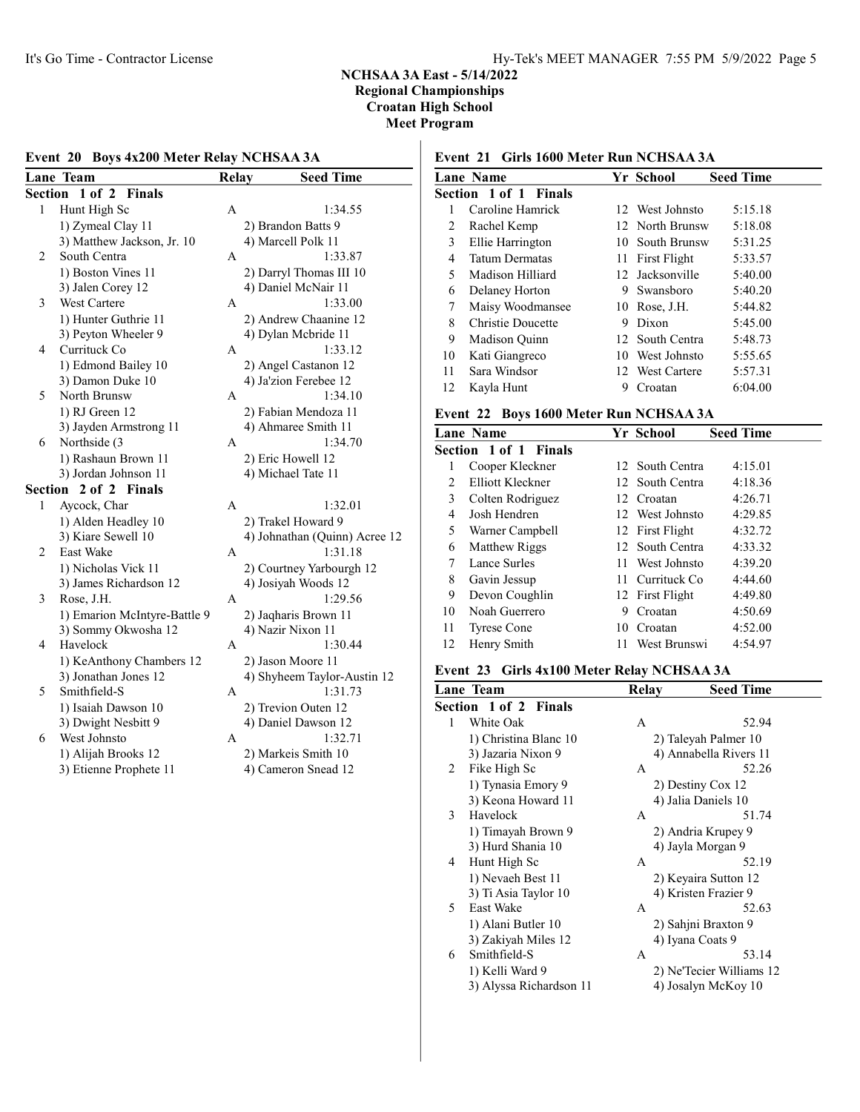# Event 20 Boys 4x200 Meter Relay NCHSAA 3A

|                | Lane Team                    | <b>Relay</b> | <b>Seed Time</b>              |
|----------------|------------------------------|--------------|-------------------------------|
|                | Section 1 of 2 Finals        |              |                               |
| 1              | Hunt High Sc                 | A            | 1:34.55                       |
|                | 1) Zymeal Clay 11            |              | 2) Brandon Batts 9            |
|                | 3) Matthew Jackson, Jr. 10   |              | 4) Marcell Polk 11            |
| 2              | South Centra                 | А            | 1:33.87                       |
|                | 1) Boston Vines 11           |              | 2) Darryl Thomas III 10       |
|                | 3) Jalen Corey 12            |              | 4) Daniel McNair 11           |
| 3              | West Cartere                 | А            | 1:33.00                       |
|                | 1) Hunter Guthrie 11         |              | 2) Andrew Chaanine 12         |
|                | 3) Peyton Wheeler 9          |              | 4) Dylan Mcbride 11           |
| 4              | Currituck Co                 | A            | 1:33.12                       |
|                | 1) Edmond Bailey 10          |              | 2) Angel Castanon 12          |
|                | 3) Damon Duke 10             |              | 4) Ja'zion Ferebee 12         |
| 5              | North Brunsw                 | A            | 1:34.10                       |
|                | 1) RJ Green 12               |              | 2) Fabian Mendoza 11          |
|                | 3) Jayden Armstrong 11       |              | 4) Ahmaree Smith 11           |
| 6              | Northside (3                 | A            | 1:34.70                       |
|                | 1) Rashaun Brown 11          |              | 2) Eric Howell 12             |
|                | 3) Jordan Johnson 11         |              | 4) Michael Tate 11            |
| Section        | 2 of 2 Finals                |              |                               |
| 1              | Aycock, Char                 | A            | 1:32.01                       |
|                | 1) Alden Headley 10          |              | 2) Trakel Howard 9            |
|                | 3) Kiare Sewell 10           |              | 4) Johnathan (Quinn) Acree 12 |
| $\overline{2}$ | East Wake                    | A            | 1:31.18                       |
|                | 1) Nicholas Vick 11          |              | 2) Courtney Yarbourgh 12      |
|                | 3) James Richardson 12       |              | 4) Josiyah Woods 12           |
| 3              | Rose, J.H.                   | A            | 1:29.56                       |
|                | 1) Emarion McIntyre-Battle 9 |              | 2) Jaqharis Brown 11          |
|                | 3) Sommy Okwosha 12          |              | 4) Nazir Nixon 11             |
| 4              | Havelock                     | A            | 1:30.44                       |
|                | 1) KeAnthony Chambers 12     |              | 2) Jason Moore 11             |
|                | 3) Jonathan Jones 12         |              | 4) Shyheem Taylor-Austin 12   |
| 5              | Smithfield-S                 | A            | 1:31.73                       |
|                | 1) Isaiah Dawson 10          |              | 2) Trevion Outen 12           |
|                | 3) Dwight Nesbitt 9          |              | 4) Daniel Dawson 12           |
| 6              | West Johnsto                 | A            | 1:32.71                       |
|                | 1) Alijah Brooks 12          |              | 2) Markeis Smith 10           |
|                | 3) Etienne Prophete 11       |              | 4) Cameron Snead 12           |
|                |                              |              |                               |

# Event 21 Girls 1600 Meter Run NCHSAA 3A

|    | Lane Name             |   | Yr School       | <b>Seed Time</b> |
|----|-----------------------|---|-----------------|------------------|
|    | Section 1 of 1 Finals |   |                 |                  |
|    | Caroline Hamrick      |   | 12 West Johnsto | 5:15.18          |
| 2  | Rachel Kemp           |   | 12 North Brunsw | 5:18.08          |
| 3  | Ellie Harrington      |   | 10 South Brunsw | 5:31.25          |
| 4  | <b>Tatum Dermatas</b> |   | 11 First Flight | 5:33.57          |
| 5  | Madison Hilliard      |   | 12 Jacksonville | 5:40.00          |
| 6  | Delaney Horton        |   | 9 Swansboro     | 5:40.20          |
| 7  | Maisy Woodmansee      |   | 10 Rose, J.H.   | 5:44.82          |
| 8  | Christie Doucette     | 9 | Dixon           | 5:45.00          |
| 9  | Madison Quinn         |   | 12 South Centra | 5:48.73          |
| 10 | Kati Giangreco        |   | 10 West Johnsto | 5:55.65          |
| 11 | Sara Windsor          |   | 12 West Cartere | 5:57.31          |
| 12 | Kayla Hunt            |   | Croatan         | 6:04.00          |

# Event 22 Boys 1600 Meter Run NCHSAA 3A

| <b>Lane Name</b>      |    |         | <b>Seed Time</b>                                                                                                                                                                                        |
|-----------------------|----|---------|---------------------------------------------------------------------------------------------------------------------------------------------------------------------------------------------------------|
| Section 1 of 1 Finals |    |         |                                                                                                                                                                                                         |
| Cooper Kleckner       |    |         | 4:15.01                                                                                                                                                                                                 |
| Elliott Kleckner      |    |         | 4:18.36                                                                                                                                                                                                 |
| Colten Rodriguez      |    |         | 4:26.71                                                                                                                                                                                                 |
| Josh Hendren          |    |         | 4:29.85                                                                                                                                                                                                 |
| Warner Campbell       |    |         | 4:32.72                                                                                                                                                                                                 |
| Matthew Riggs         |    |         | 4:33.32                                                                                                                                                                                                 |
| Lance Surles          |    |         | 4:39.20                                                                                                                                                                                                 |
| Gavin Jessup          |    |         | 4:44.60                                                                                                                                                                                                 |
| Devon Coughlin        |    |         | 4:49.80                                                                                                                                                                                                 |
| Noah Guerrero         | 9  | Croatan | 4:50.69                                                                                                                                                                                                 |
| <b>Tyrese Cone</b>    | 10 | Croatan | 4:52.00                                                                                                                                                                                                 |
| Henry Smith           | 11 |         | 4:54.97                                                                                                                                                                                                 |
|                       |    |         | <b>Yr School</b><br>12 South Centra<br>12 South Centra<br>12 Croatan<br>12 West Johnsto<br>12 First Flight<br>12 South Centra<br>11 West Johnsto<br>11 Currituck Co.<br>12 First Flight<br>West Brunswi |

# Event 23 Girls 4x100 Meter Relay NCHSAA 3A

|   | Lane Team               | Relay | <b>Seed Time</b>         |
|---|-------------------------|-------|--------------------------|
|   | Section 1 of 2 Finals   |       |                          |
| 1 | White Oak               | A     | 52.94                    |
|   |                         |       |                          |
|   | 1) Christina Blanc 10   |       | 2) Taleyah Palmer 10     |
|   | 3) Jazaria Nixon 9      |       | 4) Annabella Rivers 11   |
| 2 | Fike High Sc            | А     | 52.26                    |
|   | 1) Tynasia Emory 9      |       | 2) Destiny Cox 12        |
|   | 3) Keona Howard 11      |       | 4) Jalia Daniels 10      |
| 3 | Havelock                | A     | 51.74                    |
|   | 1) Timayah Brown 9      |       | 2) Andria Krupey 9       |
|   | 3) Hurd Shania 10       |       | 4) Jayla Morgan 9        |
| 4 | Hunt High Sc            | А     | 52.19                    |
|   | 1) Nevaeh Best 11       |       | 2) Keyaira Sutton 12     |
|   | 3) Ti Asia Taylor 10    |       | 4) Kristen Frazier 9     |
| 5 | <b>East Wake</b>        | A     | 52.63                    |
|   | 1) Alani Butler 10      |       | 2) Sahjni Braxton 9      |
|   | 3) Zakiyah Miles 12     |       | 4) Iyana Coats 9         |
| 6 | Smithfield-S            | А     | 53.14                    |
|   | 1) Kelli Ward 9         |       | 2) Ne'Tecier Williams 12 |
|   | 3) Alyssa Richardson 11 |       | 4) Josalyn McKoy 10      |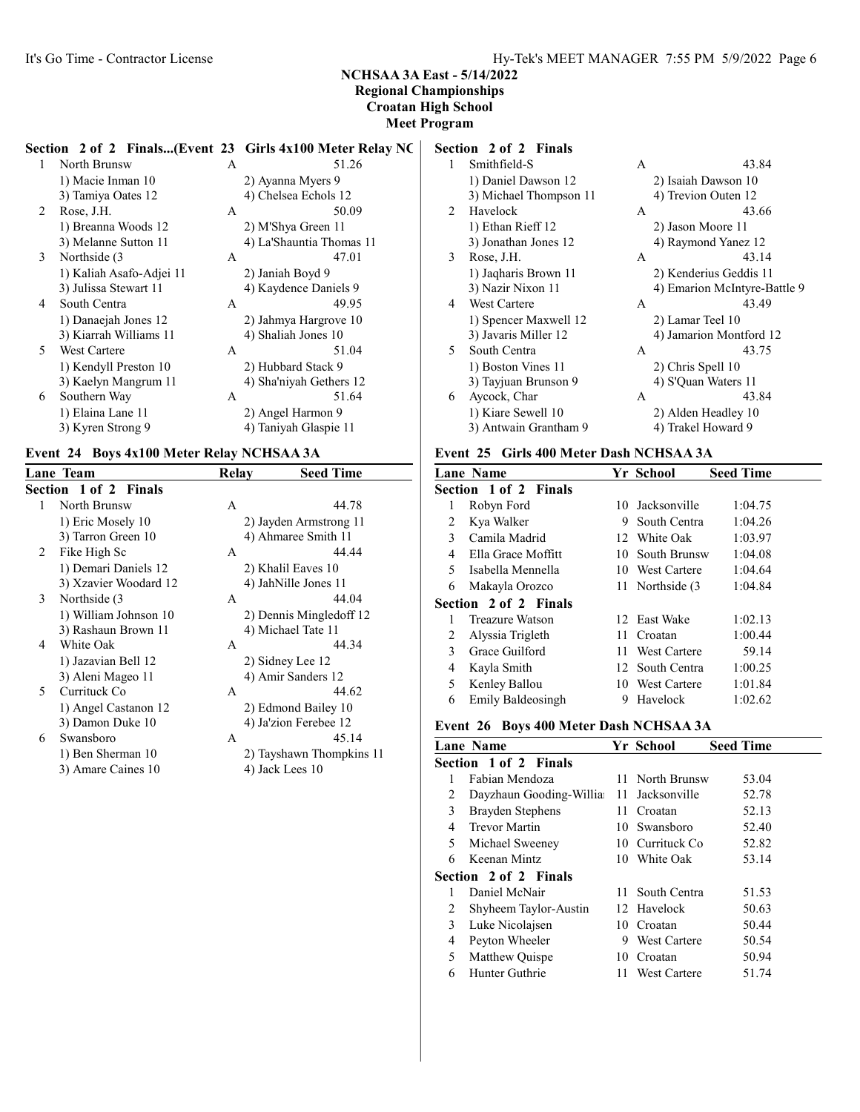# Section 2 of 2 Finals...(Event 23 Girls  $4x100$  Meter Relay NC

| 1              | North Brunsw             | A            | 51.26                    |
|----------------|--------------------------|--------------|--------------------------|
|                | 1) Macie Inman 10        |              | 2) Ayanna Myers 9        |
|                | 3) Tamiya Oates 12       |              | 4) Chelsea Echols 12     |
| $\mathfrak{D}$ | Rose, J.H.               | $\mathsf{A}$ | 50.09                    |
|                | 1) Breanna Woods 12      |              | 2) M'Shya Green 11       |
|                | 3) Melanne Sutton 11     |              | 4) La'Shauntia Thomas 11 |
| 3              | Northside (3)            | A            | 47.01                    |
|                | 1) Kaliah Asafo-Adjei 11 |              | 2) Janiah Boyd 9         |
|                | 3) Julissa Stewart 11    |              | 4) Kaydence Daniels 9    |
| 4              | South Centra             | A            | 49.95                    |
|                | 1) Danaejah Jones 12     |              | 2) Jahmya Hargrove 10    |
|                | 3) Kiarrah Williams 11   |              | 4) Shaliah Jones 10      |
| 5              | <b>West Cartere</b>      | A            | 51.04                    |
|                | 1) Kendyll Preston 10    |              | 2) Hubbard Stack 9       |
|                | 3) Kaelyn Mangrum 11     |              | 4) Sha'niyah Gethers 12  |
| 6              | Southern Way             | A            | 51.64                    |
|                | 1) Elaina Lane 11        |              | 2) Angel Harmon 9        |
|                | 3) Kyren Strong 9        |              | 4) Taniyah Glaspie 11    |

## Event 24 Boys 4x100 Meter Relay NCHSAA 3A

|   | Lane Team             | Relav | <b>Seed Time</b>         |
|---|-----------------------|-------|--------------------------|
|   | Section 1 of 2 Finals |       |                          |
| 1 | North Brunsw          | A     | 44.78                    |
|   | 1) Eric Mosely 10     |       | 2) Jayden Armstrong 11   |
|   | 3) Tarron Green 10    |       | 4) Ahmaree Smith 11      |
| 2 | Fike High Sc          | A     | 44.44                    |
|   | 1) Demari Daniels 12  |       | 2) Khalil Eaves 10       |
|   | 3) Xzavier Woodard 12 |       | 4) JahNille Jones 11     |
| 3 | Northside (3)         | A     | 44.04                    |
|   | 1) William Johnson 10 |       | 2) Dennis Mingledoff 12  |
|   | 3) Rashaun Brown 11   |       | 4) Michael Tate 11       |
| 4 | White Oak             | A     | 44.34                    |
|   | 1) Jazavian Bell 12   |       | 2) Sidney Lee 12         |
|   | 3) Aleni Mageo 11     |       | 4) Amir Sanders 12       |
| 5 | Currituck Co          | A     | 44.62                    |
|   | 1) Angel Castanon 12  |       | 2) Edmond Bailey 10      |
|   | 3) Damon Duke 10      |       | 4) Ja'zion Ferebee 12    |
| 6 | Swansboro             | A     | 45.14                    |
|   | 1) Ben Sherman 10     |       | 2) Tayshawn Thompkins 11 |
|   | 3) Amare Caines 10    |       | 4) Jack Lees 10          |

# Section 2 of 2 Finals

| 1  | Smithfield-S           | A | 43.84                        |
|----|------------------------|---|------------------------------|
|    | 1) Daniel Dawson 12    |   | 2) Isaiah Dawson 10          |
|    | 3) Michael Thompson 11 |   | 4) Trevion Outen 12          |
| 2  | Havelock               | A | 43.66                        |
|    | 1) Ethan Rieff 12      |   | 2) Jason Moore 11            |
|    | 3) Jonathan Jones 12   |   | 4) Raymond Yanez 12          |
| 3  | Rose, J.H.             | A | 43.14                        |
|    | 1) Jaqharis Brown 11   |   | 2) Kenderius Geddis 11       |
|    | 3) Nazir Nixon 11      |   | 4) Emarion McIntyre-Battle 9 |
| 4  | <b>West Cartere</b>    | A | 43.49                        |
|    | 1) Spencer Maxwell 12  |   | 2) Lamar Teel 10             |
|    | 3) Javaris Miller 12   |   | 4) Jamarion Montford 12      |
| 5. | South Centra           | A | 43.75                        |
|    | 1) Boston Vines 11     |   | 2) Chris Spell 10            |
|    | 3) Tayjuan Brunson 9   |   | 4) S'Ouan Waters 11          |
| 6  | Aycock, Char           | A | 43.84                        |
|    | 1) Kiare Sewell 10     |   | 2) Alden Headley 10          |
|    | 3) Antwain Grantham 9  |   | 4) Trakel Howard 9           |

## Event 25 Girls 400 Meter Dash NCHSAA 3A

|   | <b>Lane Name</b>      |     | Yr School        | <b>Seed Time</b> |
|---|-----------------------|-----|------------------|------------------|
|   | Section 1 of 2 Finals |     |                  |                  |
| 1 | Robyn Ford            |     | 10 Jacksonville  | 1:04.75          |
| 2 | Kya Walker            | 9.  | South Centra     | 1:04.26          |
| 3 | Camila Madrid         |     | 12 White Oak     | 1:03.97          |
| 4 | Ella Grace Moffitt    |     | 10 South Brunsw  | 1:04.08          |
| 5 | Isabella Mennella     |     | 10 West Cartere  | 1:04.64          |
| 6 | Makayla Orozco        |     | 11 Northside (3) | 1:04.84          |
|   | Section 2 of 2 Finals |     |                  |                  |
| 1 | Treazure Watson       |     | 12 East Wake     | 1:02.13          |
| 2 | Alyssia Trigleth      | 11. | Croatan          | 1:00.44          |
| 3 | Grace Guilford        | 11. | West Cartere     | 59.14            |
| 4 | Kayla Smith           |     | 12 South Centra  | 1:00.25          |
| 5 | Kenley Ballou         |     | 10 West Cartere  | 1:01.84          |
| 6 | Emily Baldeosingh     |     | Havelock         | 1:02.62          |

## Event 26 Boys 400 Meter Dash NCHSAA 3A

|   | <b>Lane Name</b>        |     | Yr School           | <b>Seed Time</b> |
|---|-------------------------|-----|---------------------|------------------|
|   | Section 1 of 2 Finals   |     |                     |                  |
|   | Fabian Mendoza          |     | 11 North Brunsw     | 53.04            |
| 2 | Dayzhaun Gooding-Willia | 11  | Jacksonville        | 52.78            |
| 3 | Brayden Stephens        |     | 11 Croatan          | 52.13            |
| 4 | <b>Trevor Martin</b>    | 10. | Swansboro           | 52.40            |
| 5 | Michael Sweeney         |     | 10 Currituck Co     | 52.82            |
| 6 | Keenan Mintz            |     | 10 White Oak        | 53.14            |
|   | Section 2 of 2 Finals   |     |                     |                  |
|   | Daniel McNair           | 11. | South Centra        | 51.53            |
| 2 | Shyheem Taylor-Austin   |     | 12 Havelock         | 50.63            |
| 3 | Luke Nicolajsen         |     | 10 Croatan          | 50.44            |
| 4 | Peyton Wheeler          | 9   | <b>West Cartere</b> | 50.54            |
| 5 | Matthew Quispe          | 10  | Croatan             | 50.94            |
| 6 | Hunter Guthrie          | 11  | West Cartere        | 51.74            |
|   |                         |     |                     |                  |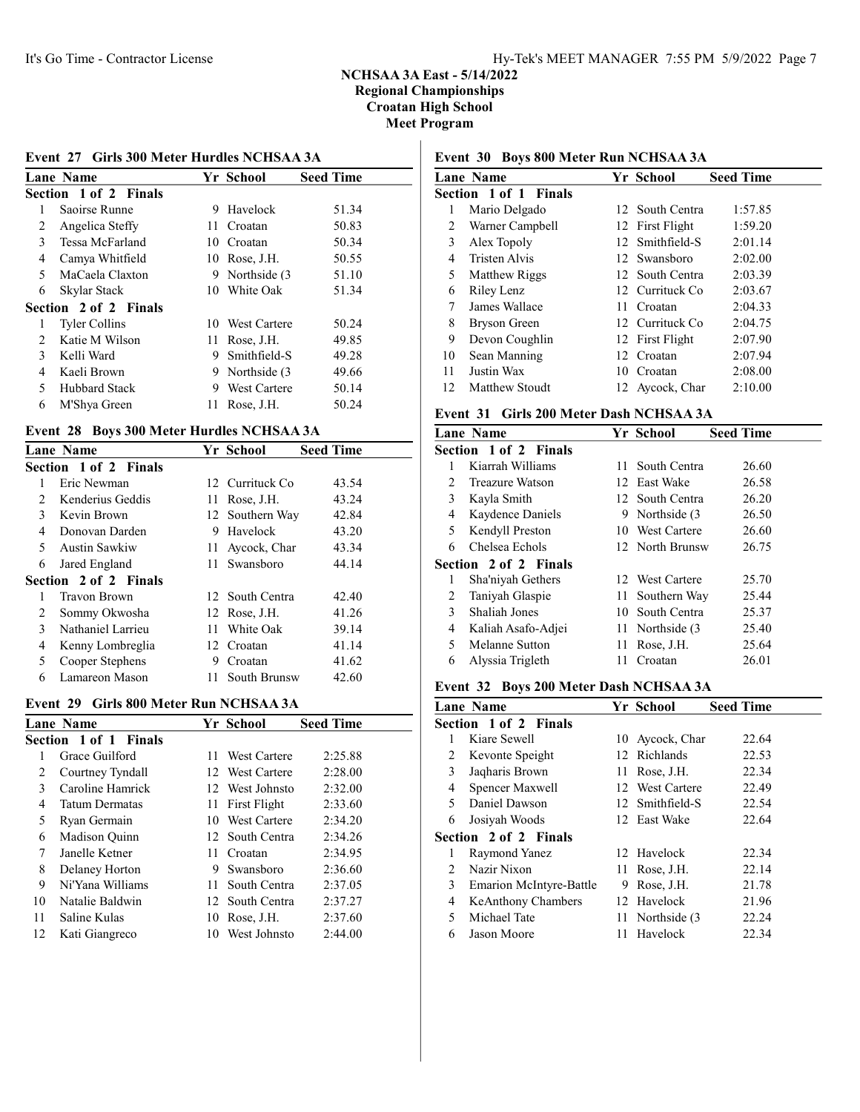## Event 27 Girls 300 Meter Hurdles NCHSAA 3A

|                | Lane Name             |    | Yr School           | <b>Seed Time</b> |
|----------------|-----------------------|----|---------------------|------------------|
|                | Section 1 of 2 Finals |    |                     |                  |
| 1              | Saoirse Runne         | 9  | Havelock            | 51.34            |
| 2              | Angelica Steffy       | 11 | Croatan             | 50.83            |
| 3              | Tessa McFarland       | 10 | Croatan             | 50.34            |
| 4              | Camya Whitfield       |    | 10 Rose, J.H.       | 50.55            |
| 5              | MaCaela Claxton       |    | 9 Northside (3)     | 51.10            |
| 6              | Skylar Stack          | 10 | White Oak           | 51.34            |
|                | Section 2 of 2 Finals |    |                     |                  |
| 1              | <b>Tyler Collins</b>  | 10 | <b>West Cartere</b> | 50.24            |
| $\mathfrak{D}$ | Katie M Wilson        | 11 | Rose, J.H.          | 49.85            |
| 3              | Kelli Ward            | 9  | Smithfield-S        | 49.28            |
| 4              | Kaeli Brown           | 9  | Northside (3)       | 49.66            |
| 5              | Hubbard Stack         | 9  | West Cartere        | 50.14            |
| 6              | M'Shya Green          | 11 | Rose, J.H.          | 50.24            |

## Event 28 Boys 300 Meter Hurdles NCHSAA 3A

|    | Lane Name             |     | Yr School       | <b>Seed Time</b> |
|----|-----------------------|-----|-----------------|------------------|
|    | Section 1 of 2 Finals |     |                 |                  |
| 1  | Eric Newman           |     | 12 Currituck Co | 43.54            |
| 2  | Kenderius Geddis      | 11  | Rose, J.H.      | 43.24            |
| 3  | Kevin Brown           |     | 12 Southern Way | 42.84            |
| 4  | Donovan Darden        | 9   | Havelock        | 43.20            |
| 5. | Austin Sawkiw         | 11. | Aycock, Char    | 43.34            |
| 6  | Jared England         | 11. | Swansboro       | 44.14            |
|    | Section 2 of 2 Finals |     |                 |                  |
| 1  | Travon Brown          |     | 12 South Centra | 42.40            |
| 2  | Sommy Okwosha         |     | 12 Rose, J.H.   | 41.26            |
| 3  | Nathaniel Larrieu     | 11  | White Oak       | 39.14            |
| 4  | Kenny Lombreglia      |     | 12 Croatan      | 41.14            |
| 5  | Cooper Stephens       | 9   | Croatan         | 41.62            |
| 6  | Lamareon Mason        | 11  | South Brunsw    | 42.60            |

# Event 29 Girls 800 Meter Run NCHSAA 3A

|    | <b>Lane Name</b>      |     | Yr School           | <b>Seed Time</b> |
|----|-----------------------|-----|---------------------|------------------|
|    | Section 1 of 1 Finals |     |                     |                  |
| 1  | Grace Guilford        | 11. | West Cartere        | 2:25.88          |
| 2  | Courtney Tyndall      |     | 12 West Cartere     | 2:28.00          |
| 3  | Caroline Hamrick      |     | 12. West Johnsto    | 2:32.00          |
| 4  | <b>Tatum Dermatas</b> |     | 11 First Flight     | 2:33.60          |
| 5  | Ryan Germain          | 10. | <b>West Cartere</b> | 2:34.20          |
| 6  | Madison Quinn         |     | 12 South Centra     | 2:34.26          |
| 7  | Janelle Ketner        | 11. | Croatan             | 2:34.95          |
| 8  | Delaney Horton        | 9   | Swansboro           | 2:36.60          |
| 9  | Ni'Yana Williams      | 11. | South Centra        | 2:37.05          |
| 10 | Natalie Baldwin       |     | 12 South Centra     | 2:37.27          |
| 11 | Saline Kulas          | 10  | Rose, J.H.          | 2:37.60          |
| 12 | Kati Giangreco        | 10  | West Johnsto        | 2:44.00          |
|    |                       |     |                     |                  |

# Event 30 Boys 800 Meter Run NCHSAA 3A

|    | Lane Name             |     | Yr School        | <b>Seed Time</b> |
|----|-----------------------|-----|------------------|------------------|
|    | Section 1 of 1 Finals |     |                  |                  |
| 1  | Mario Delgado         |     | 12. South Centra | 1:57.85          |
| 2  | Warner Campbell       |     | 12 First Flight  | 1:59.20          |
| 3  | Alex Topoly           |     | 12 Smithfield-S  | 2:01.14          |
| 4  | Tristen Alvis         |     | 12 Swansboro     | 2:02.00          |
| 5  | Matthew Riggs         |     | 12 South Centra  | 2:03.39          |
| 6  | Riley Lenz            |     | 12 Currituck Co  | 2:03.67          |
| 7  | James Wallace         | 11  | Croatan          | 2:04.33          |
| 8  | Bryson Green          |     | 12 Currituck Co  | 2:04.75          |
| 9  | Devon Coughlin        |     | 12 First Flight  | 2:07.90          |
| 10 | Sean Manning          | 12. | Croatan          | 2:07.94          |
| 11 | Justin Wax            | 10  | Croatan          | 2:08.00          |
| 12 | Matthew Stoudt        |     | 12 Aycock, Char  | 2:10.00          |

# Event 31 Girls 200 Meter Dash NCHSAA 3A

|   | <b>Lane Name</b>       |     | Yr School        | <b>Seed Time</b> |
|---|------------------------|-----|------------------|------------------|
|   | Section 1 of 2 Finals  |     |                  |                  |
| 1 | Kiarrah Williams       | 11. | South Centra     | 26.60            |
| 2 | <b>Treazure Watson</b> |     | 12 East Wake     | 26.58            |
| 3 | Kayla Smith            |     | 12 South Centra  | 26.20            |
| 4 | Kaydence Daniels       | 9.  | Northside (3)    | 26.50            |
| 5 | Kendyll Preston        |     | 10 West Cartere  | 26.60            |
| 6 | Chelsea Echols         |     | 12 North Brunsw  | 26.75            |
|   | Section 2 of 2 Finals  |     |                  |                  |
| 1 | Sha'niyah Gethers      |     | 12 West Cartere  | 25.70            |
| 2 | Taniyah Glaspie        | 11. | Southern Way     | 25.44            |
| 3 | Shaliah Jones          | 10. | South Centra     | 25.37            |
| 4 | Kaliah Asafo-Adjei     |     | 11 Northside (3) | 25.40            |
| 5 | Melanne Sutton         | 11  | Rose, J.H.       | 25.64            |
| 6 | Alyssia Trigleth       | 11  | Croatan          | 26.01            |

## Event 32 Boys 200 Meter Dash NCHSAA 3A

|                | <b>Lane Name</b>               |   | Yr School        | <b>Seed Time</b> |
|----------------|--------------------------------|---|------------------|------------------|
|                | Section 1 of 2 Finals          |   |                  |                  |
| 1              | Kiare Sewell                   |   | 10 Aycock, Char  | 22.64            |
| 2              | Kevonte Speight                |   | 12 Richlands     | 22.53            |
| 3              | Jaqharis Brown                 |   | 11 Rose, J.H.    | 22.34            |
| 4              | Spencer Maxwell                |   | 12 West Cartere  | 22.49            |
| 5.             | Daniel Dawson                  |   | 12 Smithfield-S  | 22.54            |
| 6              | Josiyah Woods                  |   | 12 East Wake     | 22.64            |
|                | Section 2 of 2 Finals          |   |                  |                  |
| 1              | Raymond Yanez                  |   | 12 Havelock      | 22.34            |
| $\mathfrak{D}$ | Nazir Nixon                    |   | 11 Rose, J.H.    | 22.14            |
| 3              | <b>Emarion McIntyre-Battle</b> | 9 | Rose, J.H.       | 21.78            |
| 4              | KeAnthony Chambers             |   | 12 Havelock      | 21.96            |
| 5              | Michael Tate                   |   | 11 Northside (3) | 22.24            |
| 6              | Jason Moore                    |   | 11 Havelock      | 22.34            |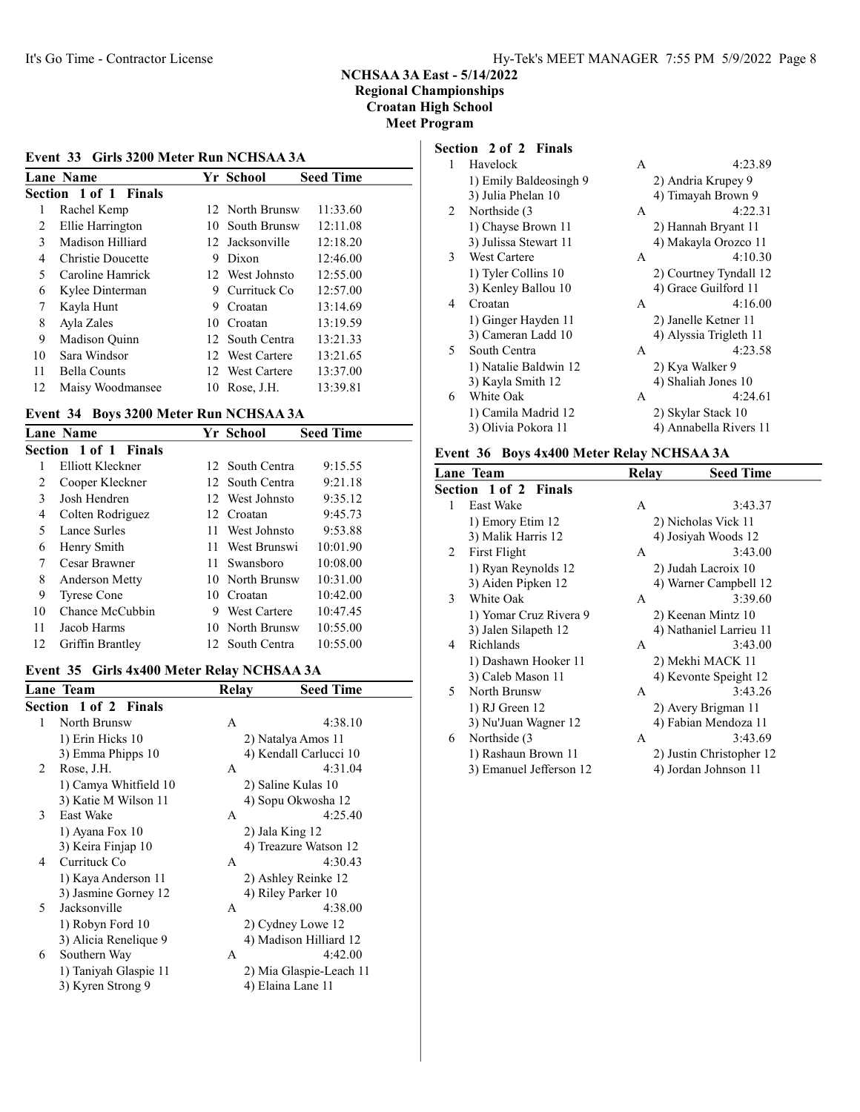#### Event 33 Girls 3200 Meter Run NCHSAA 3A

|    | <b>Lane Name</b>      |    | Yr School       | <b>Seed Time</b> |
|----|-----------------------|----|-----------------|------------------|
|    | Section 1 of 1 Finals |    |                 |                  |
| 1  | Rachel Kemp           |    | 12 North Brunsw | 11:33.60         |
| 2  | Ellie Harrington      |    | 10 South Brunsw | 12:11.08         |
| 3  | Madison Hilliard      |    | 12 Jacksonville | 12:18.20         |
| 4  | Christie Doucette     | 9  | Dixon           | 12:46.00         |
| 5  | Caroline Hamrick      |    | 12 West Johnsto | 12:55.00         |
| 6  | Kylee Dinterman       | 9  | Currituck Co    | 12:57.00         |
|    | Kayla Hunt            | 9  | Croatan         | 13:14.69         |
| 8  | Ayla Zales            | 10 | Croatan         | 13:19.59         |
| 9  | Madison Quinn         |    | 12 South Centra | 13:21.33         |
| 10 | Sara Windsor          |    | 12 West Cartere | 13:21.65         |
| 11 | <b>Bella Counts</b>   |    | 12 West Cartere | 13:37.00         |
| 12 | Maisy Woodmansee      | 10 | Rose, J.H.      | 13:39.81         |

# Event 34 Boys 3200 Meter Run NCHSAA 3A

|    | <b>Lane Name</b>      |    | <b>Yr School</b>    | <b>Seed Time</b> |
|----|-----------------------|----|---------------------|------------------|
|    | Section 1 of 1 Finals |    |                     |                  |
|    | Elliott Kleckner      |    | 12 South Centra     | 9:15.55          |
| 2  | Cooper Kleckner       |    | 12 South Centra     | 9:21.18          |
| 3  | Josh Hendren          |    | 12 West Johnsto     | 9:35.12          |
| 4  | Colten Rodriguez      |    | 12 Croatan          | 9:45.73          |
| 5  | Lance Surles          |    | 11 West Johnsto     | 9:53.88          |
| 6  | Henry Smith           |    | 11 West Brunswi     | 10:01.90         |
| 7  | Cesar Brawner         |    | 11 Swansboro        | 10:08.00         |
| 8  | <b>Anderson Metty</b> |    | 10 North Brunsw     | 10:31.00         |
| 9  | <b>Tyrese Cone</b>    | 10 | Croatan             | 10:42.00         |
| 10 | Chance McCubbin       | 9  | <b>West Cartere</b> | 10:47.45         |
| 11 | Jacob Harms           |    | 10 North Brunsw     | 10:55.00         |
| 12 | Griffin Brantlev      |    | 12 South Centra     | 10:55.00         |

## Event 35 Girls 4x400 Meter Relay NCHSAA 3A

| <b>Seed Time</b>        |
|-------------------------|
|                         |
| 4:38.10                 |
| 2) Natalya Amos 11      |
| 4) Kendall Carlucci 10  |
| 4:31.04                 |
| 2) Saline Kulas 10      |
| 4) Sopu Okwosha 12      |
| 4:25.40                 |
| 2) Jala King 12         |
| 4) Treazure Watson 12   |
| 4:30.43                 |
| 2) Ashley Reinke 12     |
| 4) Riley Parker 10      |
| 4:38.00                 |
| 2) Cydney Lowe 12       |
| 4) Madison Hilliard 12  |
| 4:42.00                 |
| 2) Mia Glaspie-Leach 11 |
| 4) Elaina Lane 11       |
|                         |

# Section 2 of 2 Finals

| $\mathbf{1}$ | Havelock               | A | 4:23.89                |
|--------------|------------------------|---|------------------------|
|              | 1) Emily Baldeosingh 9 |   | 2) Andria Krupey 9     |
|              | 3) Julia Phelan 10     |   | 4) Timayah Brown 9     |
| 2            | Northside (3)          | A | 4:22.31                |
|              | 1) Chayse Brown 11     |   | 2) Hannah Bryant 11    |
|              | 3) Julissa Stewart 11  |   | 4) Makayla Orozco 11   |
| 3            | <b>West Cartere</b>    | A | 4:10.30                |
|              | 1) Tyler Collins 10    |   | 2) Courtney Tyndall 12 |
|              | 3) Kenley Ballou 10    |   | 4) Grace Guilford 11   |
| 4            | Croatan                | A | 4:16.00                |
|              | 1) Ginger Hayden 11    |   | 2) Janelle Ketner 11   |
|              | 3) Cameran Ladd 10     |   | 4) Alyssia Trigleth 11 |
| 5.           | South Centra           | A | 4:23.58                |
|              | 1) Natalie Baldwin 12  |   | 2) Kya Walker 9        |
|              | 3) Kayla Smith 12      |   | 4) Shaliah Jones 10    |
| 6            | White Oak              | A | 4:24.61                |
|              | 1) Camila Madrid 12    |   | 2) Skylar Stack 10     |
|              | 3) Olivia Pokora 11    |   | 4) Annabella Rivers 11 |

## Event 36 Boys 4x400 Meter Relay NCHSAA 3A

|                | Lane Team                    | Relay | <b>Seed Time</b>         |  |
|----------------|------------------------------|-------|--------------------------|--|
|                | <b>Section 1 of 2 Finals</b> |       |                          |  |
| 1              | <b>East Wake</b>             | A     | 3:43.37                  |  |
|                | 1) Emory Etim 12             |       | 2) Nicholas Vick 11      |  |
|                | 3) Malik Harris 12           |       | 4) Josiyah Woods 12      |  |
| $\mathfrak{D}$ | First Flight                 | А     | 3:43.00                  |  |
|                | 1) Ryan Reynolds 12          |       | 2) Judah Lacroix 10      |  |
|                | 3) Aiden Pipken 12           |       | 4) Warner Campbell 12    |  |
| 3              | White Oak                    | A     | 3:39.60                  |  |
|                | 1) Yomar Cruz Rivera 9       |       | 2) Keenan Mintz 10       |  |
|                | 3) Jalen Silapeth 12         |       | 4) Nathaniel Larrieu 11  |  |
| 4              | Richlands                    | A     | 3:43.00                  |  |
|                | 1) Dashawn Hooker 11         |       | 2) Mekhi MACK 11         |  |
|                | 3) Caleb Mason 11            |       | 4) Kevonte Speight 12    |  |
| 5              | North Brunsw                 | A     | 3:43.26                  |  |
|                | 1) RJ Green 12               |       | 2) Avery Brigman 11      |  |
|                | 3) Nu'Juan Wagner 12         |       | 4) Fabian Mendoza 11     |  |
| 6              | Northside (3)                | A     | 3:43.69                  |  |
|                | 1) Rashaun Brown 11          |       | 2) Justin Christopher 12 |  |
|                | 3) Emanuel Jefferson 12      |       | 4) Jordan Johnson 11     |  |
|                |                              |       |                          |  |